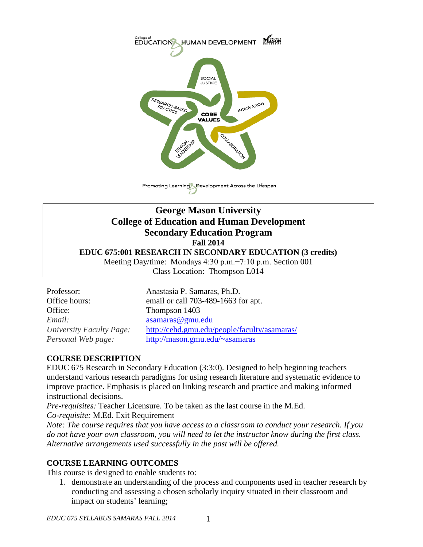

Promoting Learning Development Across the Lifespan

# **George Mason University College of Education and Human Development Secondary Education Program Fall 2014 EDUC 675:001 RESEARCH IN SECONDARY EDUCATION (3 credits)** Meeting Day/time: Mondays 4:30 p.m.−7:10 p.m. Section 001

Class Location: Thompson L014

Office: Thompson 1403 *Email:* [asamaras@gmu.edu](mailto:asamaras@gmu.edu)

Professor: Anastasia P. Samaras, Ph.D. Office hours: email or call 703-489-1663 for apt. *University Faculty Page:* <http://cehd.gmu.edu/people/faculty/asamaras/> *Personal Web page:* [http://mason.gmu.edu/~asamaras](http://mason.gmu.edu/%7Easamaras)

### **COURSE DESCRIPTION**

EDUC 675 Research in Secondary Education (3:3:0). Designed to help beginning teachers understand various research paradigms for using research literature and systematic evidence to improve practice. Emphasis is placed on linking research and practice and making informed instructional decisions.

*Pre-requisites:* Teacher Licensure. To be taken as the last course in the M.Ed. *Co-requisite:* M.Ed. Exit Requirement

*Note: The course requires that you have access to a classroom to conduct your research. If you do not have your own classroom, you will need to let the instructor know during the first class. Alternative arrangements used successfully in the past will be offered.*

### **COURSE LEARNING OUTCOMES**

This course is designed to enable students to:

1. demonstrate an understanding of the process and components used in teacher research by conducting and assessing a chosen scholarly inquiry situated in their classroom and impact on students' learning;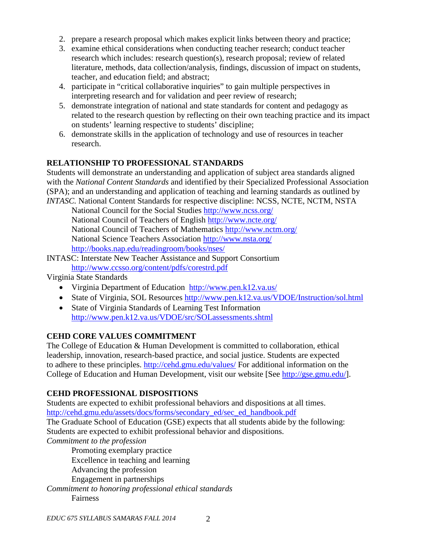- 2. prepare a research proposal which makes explicit links between theory and practice;
- 3. examine ethical considerations when conducting teacher research; conduct teacher research which includes: research question(s), research proposal; review of related literature, methods, data collection/analysis, findings, discussion of impact on students, teacher, and education field; and abstract;
- 4. participate in "critical collaborative inquiries" to gain multiple perspectives in interpreting research and for validation and peer review of research;
- 5. demonstrate integration of national and state standards for content and pedagogy as related to the research question by reflecting on their own teaching practice and its impact on students' learning respective to students' discipline;
- 6. demonstrate skills in the application of technology and use of resources in teacher research.

### **RELATIONSHIP TO PROFESSIONAL STANDARDS**

Students will demonstrate an understanding and application of subject area standards aligned with the *National Content Standards* and identified by their Specialized Professional Association (SPA); and an understanding and application of teaching and learning standards as outlined by *INTASC.* National Content Standards for respective discipline: NCSS, NCTE, NCTM, NSTA

National Council for the Social Studies<http://www.ncss.org/> National Council of Teachers of English<http://www.ncte.org/> National Council of Teachers of Mathematics<http://www.nctm.org/> National Science Teachers Association<http://www.nsta.org/> <http://books.nap.edu/readingroom/books/nses/>

INTASC: Interstate New Teacher [Assistance and Support Consortium](http://www.ccsso.org/content/pdfs/corestrd.pdf) <http://www.ccsso.org/content/pdfs/corestrd.pdf>

Virginia State Standards

- [Virginia Department of Education http://www.pen.k12.va.us/](http://www.pen.k12.va.us/)
- State of Virginia, SOL Resources<http://www.pen.k12.va.us/VDOE/Instruction/sol.html>
- State of Virginia Standards of Learning Test Information <http://www.pen.k12.va.us/VDOE/src/SOLassessments.shtml>

# **CEHD CORE VALUES COMMITMENT**

The College of Education & Human Development is committed to collaboration, ethical leadership, innovation, research-based practice, and social justice. Students are expected to adhere to these principles.<http://cehd.gmu.edu/values/> For additional information on the College of Education and Human Development, visit our website [See [http://gse.gmu.edu/\]](http://gse.gmu.edu/).

# **CEHD PROFESSIONAL DISPOSITIONS**

Students are expected to exhibit professional behaviors and dispositions at all times. [http://cehd.gmu.edu/assets/docs/forms/secondary\\_ed/sec\\_ed\\_handbook.pdf](http://cehd.gmu.edu/assets/docs/forms/secondary_ed/sec_ed_handbook.pdf)

The Graduate School of Education (GSE) expects that all students abide by the following: Students are expected to exhibit professional behavior and dispositions.

*Commitment to the profession*

Promoting exemplary practice Excellence in teaching and learning Advancing the profession Engagement in partnerships

*Commitment to honoring professional ethical standards* Fairness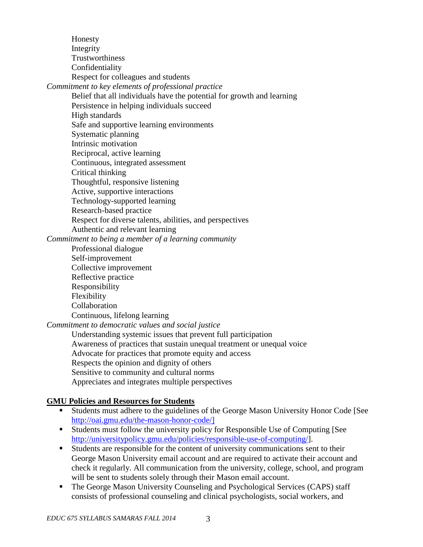Honesty Integrity Trustworthiness Confidentiality Respect for colleagues and students *Commitment to key elements of professional practice* Belief that all individuals have the potential for growth and learning

Persistence in helping individuals succeed

High standards

Safe and supportive learning environments

Systematic planning

Intrinsic motivation

Reciprocal, active learning

Continuous, integrated assessment

Critical thinking

Thoughtful, responsive listening

Active, supportive interactions

Technology-supported learning

Research-based practice

Respect for diverse talents, abilities, and perspectives

Authentic and relevant learning

*Commitment to being a member of a learning community*

Professional dialogue Self-improvement Collective improvement Reflective practice Responsibility Flexibility Collaboration Continuous, lifelong learning

*Commitment to democratic values and social justice* Understanding systemic issues that prevent full participation

Awareness of practices that sustain unequal treatment or unequal voice Advocate for practices that promote equity and access Respects the opinion and dignity of others Sensitive to community and cultural norms Appreciates and integrates multiple perspectives

### **GMU Policies and Resources for Students**

- Students must adhere to the guidelines of the George Mason University Honor Code [See [http://oai.gmu.edu/the-mason-honor-code/\]](http://oai.gmu.edu/the-mason-honor-code/)
- Students must follow the university policy for Responsible Use of Computing [See [http://universitypolicy.gmu.edu/policies/responsible-use-of-computing/\]](http://universitypolicy.gmu.edu/policies/responsible-use-of-computing/).
- Students are responsible for the content of university communications sent to their George Mason University email account and are required to activate their account and check it regularly. All communication from the university, college, school, and program will be sent to students solely through their Mason email account.
- The George Mason University Counseling and Psychological Services (CAPS) staff consists of professional counseling and clinical psychologists, social workers, and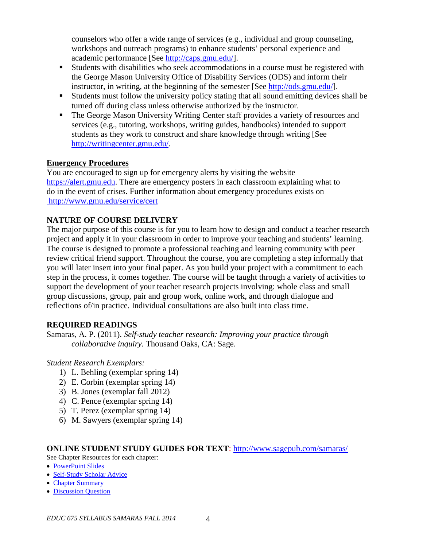counselors who offer a wide range of services (e.g., individual and group counseling, workshops and outreach programs) to enhance students' personal experience and academic performance [See [http://caps.gmu.edu/\]](http://caps.gmu.edu/).

- Students with disabilities who seek accommodations in a course must be registered with the George Mason University Office of Disability Services (ODS) and inform their instructor, in writing, at the beginning of the semester [See [http://ods.gmu.edu/\]](http://ods.gmu.edu/).
- Students must follow the university policy stating that all sound emitting devices shall be turned off during class unless otherwise authorized by the instructor.
- The George Mason University Writing Center staff provides a variety of resources and services (e.g., tutoring, workshops, writing guides, handbooks) intended to support students as they work to construct and share knowledge through writing [See [http://writingcenter.gmu.edu/.](http://writingcenter.gmu.edu/)

# **Emergency Procedures**

You are encouraged to sign up for emergency alerts by visiting the website [https://alert.gmu.edu.](https://alert.gmu.edu/) There are emergency posters in each classroom explaining what to do in the event of crises. Further information about emergency procedures exists on <http://www.gmu.edu/service/cert>

# **NATURE OF COURSE DELIVERY**

The major purpose of this course is for you to learn how to design and conduct a teacher research project and apply it in your classroom in order to improve your teaching and students' learning. The course is designed to promote a professional teaching and learning community with peer review critical friend support. Throughout the course, you are completing a step informally that you will later insert into your final paper. As you build your project with a commitment to each step in the process, it comes together. The course will be taught through a variety of activities to support the development of your teacher research projects involving: whole class and small group discussions, group, pair and group work, online work, and through dialogue and reflections of/in practice. Individual consultations are also built into class time.

# **REQUIRED READINGS**

Samaras, A. P. (2011). *Self-study teacher research: Improving your practice through collaborative inquiry.* Thousand Oaks, CA: Sage.

### *Student Research Exemplars:*

- 1) L. Behling (exemplar spring 14)
- 2) E. Corbin (exemplar spring 14)
- 3) B. Jones (exemplar fall 2012)
- 4) C. Pence (exemplar spring 14)
- 5) T. Perez (exemplar spring 14)
- 6) M. Sawyers (exemplar spring 14)

### **ONLINE STUDENT STUDY GUIDES FOR TEXT**:<http://www.sagepub.com/samaras/>

See Chapter Resources for each chapter:

- [PowerPoint Slides](http://www.sagepub.com/samaras/chapters/PPTs/Ch01PPT.ppt)
- [Self-Study Scholar Advice](http://www.sagepub.com/samaras/chapters/Scholar%20Advice/Ch01ScholarAdvice.pdf)
- [Chapter Summary](http://www.sagepub.com/samaras/chapters/Chapter%20Summaries/Ch01Description.pdf)
- [Discussion Question](http://www.sagepub.com/samaras/chapters/Discussion%20Questions%20and%20Classroom%20Activities/Ch01Discussion.doc)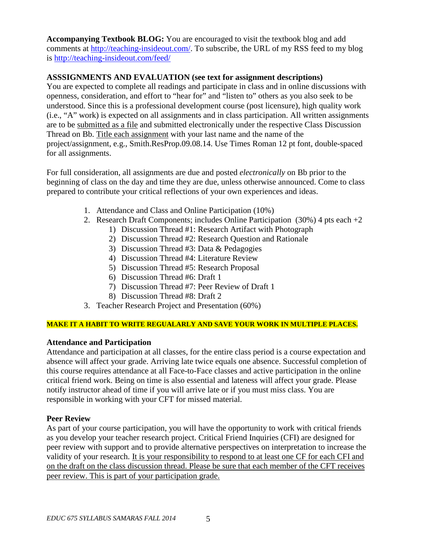**Accompanying Textbook BLOG:** You are encouraged to visit the textbook blog and add comments at [http://teaching-insideout.com/.](http://teaching-insideout.com/) To subscribe, the URL of my RSS feed to my blog is<http://teaching-insideout.com/feed/>

# **ASSSIGNMENTS AND EVALUATION (see text for assignment descriptions)**

You are expected to complete all readings and participate in class and in online discussions with openness, consideration, and effort to "hear for" and "listen to" others as you also seek to be understood. Since this is a professional development course (post licensure), high quality work (i.e., "A" work) is expected on all assignments and in class participation. All written assignments are to be submitted as a file and submitted electronically under the respective Class Discussion Thread on Bb. Title each assignment with your last name and the name of the project/assignment, e.g., Smith.ResProp.09.08.14. Use Times Roman 12 pt font, double-spaced for all assignments.

For full consideration, all assignments are due and posted *electronically* on Bb prior to the beginning of class on the day and time they are due, unless otherwise announced. Come to class prepared to contribute your critical reflections of your own experiences and ideas.

- 1. Attendance and Class and Online Participation (10%)
- 2. Research Draft Components; includes Online Participation (30%) 4 pts each +2
	- 1) Discussion Thread #1: Research Artifact with Photograph
	- 2) Discussion Thread #2: Research Question and Rationale
	- 3) Discussion Thread #3: Data & Pedagogies
	- 4) Discussion Thread #4: Literature Review
	- 5) Discussion Thread #5: Research Proposal
	- 6) Discussion Thread #6: Draft 1
	- 7) Discussion Thread #7: Peer Review of Draft 1
	- 8) Discussion Thread #8: Draft 2
- 3. Teacher Research Project and Presentation (60%)

### **MAKE IT A HABIT TO WRITE REGUALARLY AND SAVE YOUR WORK IN MULTIPLE PLACES.**

### **Attendance and Participation**

Attendance and participation at all classes, for the entire class period is a course expectation and absence will affect your grade. Arriving late twice equals one absence. Successful completion of this course requires attendance at all Face-to-Face classes and active participation in the online critical friend work. Being on time is also essential and lateness will affect your grade. Please notify instructor ahead of time if you will arrive late or if you must miss class. You are responsible in working with your CFT for missed material.

### **Peer Review**

As part of your course participation, you will have the opportunity to work with critical friends as you develop your teacher research project. Critical Friend Inquiries (CFI) are designed for peer review with support and to provide alternative perspectives on interpretation to increase the validity of your research. It is your responsibility to respond to at least one CF for each CFI and on the draft on the class discussion thread. Please be sure that each member of the CFT receives peer review. This is part of your participation grade.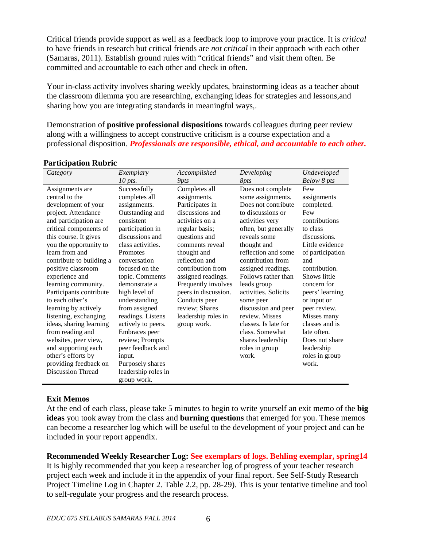Critical friends provide support as well as a feedback loop to improve your practice. It is *critical* to have friends in research but critical friends are *not critical* in their approach with each other (Samaras, 2011). Establish ground rules with "critical friends" and visit them often. Be committed and accountable to each other and check in often.

Your in-class activity involves sharing weekly updates, brainstorming ideas as a teacher about the classroom dilemma you are researching, exchanging ideas for strategies and lessons,and sharing how you are integrating standards in meaningful ways,.

Demonstration of **positive professional dispositions** towards colleagues during peer review along with a willingness to accept constructive criticism is a course expectation and a professional disposition. *Professionals are responsible, ethical, and accountable to each other.*

| Category                 | Exemplary           | Accomplished         | Developing           | Undeveloped      |
|--------------------------|---------------------|----------------------|----------------------|------------------|
|                          | 10 pts.             | 9pts                 | 8 <i>pts</i>         | Below 8 pts      |
| Assignments are          | Successfully        | Completes all        | Does not complete    | Few              |
| central to the           | completes all       | assignments.         | some assignments.    | assignments      |
| development of your      | assignments.        | Participates in      | Does not contribute  | completed.       |
| project. Attendance      | Outstanding and     | discussions and      | to discussions or    | Few              |
| and participation are    | consistent          | activities on a      | activities very      | contributions    |
| critical components of   | participation in    | regular basis;       | often, but generally | to class         |
| this course. It gives    | discussions and     | questions and        | reveals some         | discussions.     |
| you the opportunity to   | class activities.   | comments reveal      | thought and          | Little evidence  |
| learn from and           | Promotes            | thought and          | reflection and some  | of participation |
| contribute to building a | conversation        | reflection and       | contribution from    | and              |
| positive classroom       | focused on the      | contribution from    | assigned readings.   | contribution.    |
| experience and           | topic. Comments     | assigned readings.   | Follows rather than  | Shows little     |
| learning community.      | demonstrate a       | Frequently involves  | leads group          | concern for      |
| Participants contribute  | high level of       | peers in discussion. | activities. Solicits | peers' learning  |
| to each other's          | understanding       | Conducts peer        | some peer            | or input or      |
| learning by actively     | from assigned       | review; Shares       | discussion and peer  | peer review.     |
| listening, exchanging    | readings. Listens   | leadership roles in  | review. Misses       | Misses many      |
| ideas, sharing learning  | actively to peers.  | group work.          | classes. Is late for | classes and is   |
| from reading and         | Embraces peer       |                      | class. Somewhat      | late often.      |
| websites, peer view,     | review; Prompts     |                      | shares leadership    | Does not share   |
| and supporting each      | peer feedback and   |                      | roles in group       | leadership       |
| other's efforts by       | input.              |                      | work.                | roles in group   |
| providing feedback on    | Purposely shares    |                      |                      | work.            |
| <b>Discussion Thread</b> | leadership roles in |                      |                      |                  |
|                          | group work.         |                      |                      |                  |

#### **Participation Rubric**

### **Exit Memos**

At the end of each class, please take 5 minutes to begin to write yourself an exit memo of the **big ideas** you took away from the class and **burning questions** that emerged for you. These memos can become a researcher log which will be useful to the development of your project and can be included in your report appendix.

**Recommended Weekly Researcher Log: See exemplars of logs. Behling exemplar, spring14** It is highly recommended that you keep a researcher log of progress of your teacher research project each week and include it in the appendix of your final report. See Self-Study Research Project Timeline Log in Chapter 2. Table 2.2, pp. 28-29). This is your tentative timeline and tool to self-regulate your progress and the research process.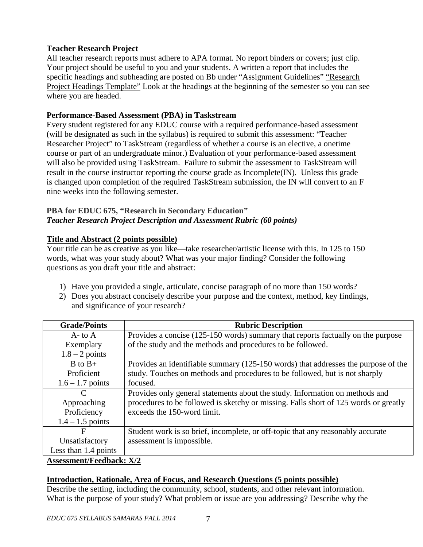### **Teacher Research Project**

All teacher research reports must adhere to APA format. No report binders or covers; just clip. Your project should be useful to you and your students. A written a report that includes the specific headings and subheading are posted on Bb under "Assignment Guidelines" "Research Project Headings Template" Look at the headings at the beginning of the semester so you can see where you are headed.

#### **Performance-Based Assessment (PBA) in Taskstream**

Every student registered for any EDUC course with a required performance-based assessment (will be designated as such in the syllabus) is required to submit this assessment: "Teacher Researcher Project" to TaskStream (regardless of whether a course is an elective, a onetime course or part of an undergraduate minor.) Evaluation of your performance-based assessment will also be provided using TaskStream. Failure to submit the assessment to TaskStream will result in the course instructor reporting the course grade as Incomplete(IN). Unless this grade is changed upon completion of the required TaskStream submission, the IN will convert to an F nine weeks into the following semester.

#### **PBA for EDUC 675, "Research in Secondary Education"** *Teacher Research Project Description and Assessment Rubric (60 points)*

### **Title and Abstract (2 points possible)**

Your title can be as creative as you like—take researcher/artistic license with this. In 125 to 150 words, what was your study about? What was your major finding? Consider the following questions as you draft your title and abstract:

- 1) Have you provided a single, articulate, concise paragraph of no more than 150 words?
- 2) Does you abstract concisely describe your purpose and the context, method, key findings, and significance of your research?

| <b>Grade/Points</b>             | <b>Rubric Description</b>                                                            |
|---------------------------------|--------------------------------------------------------------------------------------|
| $A - t_0 A$                     | Provides a concise (125-150 words) summary that reports factually on the purpose     |
| Exemplary                       | of the study and the methods and procedures to be followed.                          |
| $1.8 - 2$ points                |                                                                                      |
| $B$ to $B+$                     | Provides an identifiable summary (125-150 words) that addresses the purpose of the   |
| Proficient                      | study. Touches on methods and procedures to be followed, but is not sharply          |
| $1.6 - 1.7$ points              | focused.                                                                             |
| C                               | Provides only general statements about the study. Information on methods and         |
| Approaching                     | procedures to be followed is sketchy or missing. Falls short of 125 words or greatly |
| Proficiency                     | exceeds the 150-word limit.                                                          |
| $1.4 - 1.5$ points              |                                                                                      |
| F                               | Student work is so brief, incomplete, or off-topic that any reasonably accurate      |
| Unsatisfactory                  | assessment is impossible.                                                            |
| Less than 1.4 points            |                                                                                      |
| <b>Assessment/Feedback: X/2</b> |                                                                                      |

### **Introduction, Rationale, Area of Focus, and Research Questions (5 points possible)**

Describe the setting, including the community, school, students, and other relevant information. What is the purpose of your study? What problem or issue are you addressing? Describe why the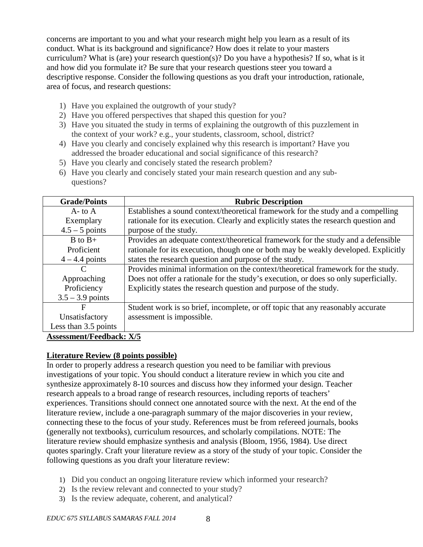concerns are important to you and what your research might help you learn as a result of its conduct. What is its background and significance? How does it relate to your masters curriculum? What is (are) your research question(s)? Do you have a hypothesis? If so, what is it and how did you formulate it? Be sure that your research questions steer you toward a descriptive response. Consider the following questions as you draft your introduction, rationale, area of focus, and research questions:

- 1) Have you explained the outgrowth of your study?
- 2) Have you offered perspectives that shaped this question for you?
- 3) Have you situated the study in terms of explaining the outgrowth of this puzzlement in the context of your work? e.g., your students, classroom, school, district?
- 4) Have you clearly and concisely explained why this research is important? Have you addressed the broader educational and social significance of this research?
- 5) Have you clearly and concisely stated the research problem?
- 6) Have you clearly and concisely stated your main research question and any subquestions?

| <b>Grade/Points</b>                                             | <b>Rubric Description</b>                                                            |
|-----------------------------------------------------------------|--------------------------------------------------------------------------------------|
| $A$ - to $A$                                                    | Establishes a sound context/theoretical framework for the study and a compelling     |
| Exemplary                                                       | rationale for its execution. Clearly and explicitly states the research question and |
| $4.5 - 5$ points                                                | purpose of the study.                                                                |
| $B$ to $B+$                                                     | Provides an adequate context/theoretical framework for the study and a defensible    |
| Proficient                                                      | rationale for its execution, though one or both may be weakly developed. Explicitly  |
| $4 - 4.4$ points                                                | states the research question and purpose of the study.                               |
|                                                                 | Provides minimal information on the context/theoretical framework for the study.     |
| Approaching                                                     | Does not offer a rationale for the study's execution, or does so only superficially. |
| Proficiency                                                     | Explicitly states the research question and purpose of the study.                    |
| $3.5 - 3.9$ points                                              |                                                                                      |
| F                                                               | Student work is so brief, incomplete, or off topic that any reasonably accurate      |
| Unsatisfactory                                                  | assessment is impossible.                                                            |
| Less than 3.5 points                                            |                                                                                      |
| $\Lambda$ coocament $\Gamma$ eedhooks $\mathbf{V}$ $\mathbf{F}$ |                                                                                      |

# **Assessment/Feedback: X/5**

#### **Literature Review (8 points possible)**

In order to properly address a research question you need to be familiar with previous investigations of your topic. You should conduct a literature review in which you cite and synthesize approximately 8-10 sources and discuss how they informed your design. Teacher research appeals to a broad range of research resources, including reports of teachers' experiences. Transitions should connect one annotated source with the next. At the end of the literature review, include a one-paragraph summary of the major discoveries in your review, connecting these to the focus of your study. References must be from refereed journals, books (generally not textbooks), curriculum resources, and scholarly compilations. NOTE: The literature review should emphasize synthesis and analysis (Bloom, 1956, 1984). Use direct quotes sparingly. Craft your literature review as a story of the study of your topic. Consider the following questions as you draft your literature review:

- 1) Did you conduct an ongoing literature review which informed your research?
- 2) Is the review relevant and connected to your study?
- 3) Is the review adequate, coherent, and analytical?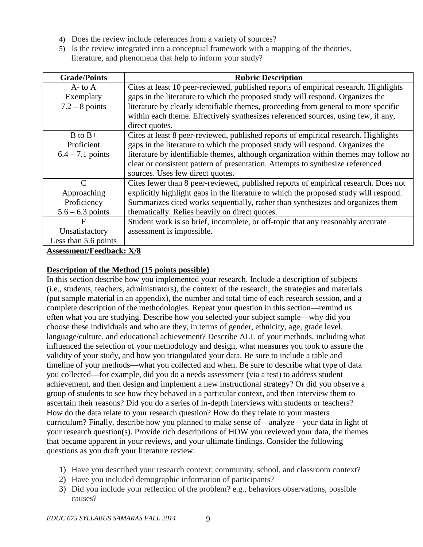- 4) Does the review include references from a variety of sources?
- 5) Is the review integrated into a conceptual framework with a mapping of the theories, literature, and phenomena that help to inform your study?

| <b>Grade/Points</b>             | <b>Rubric Description</b>                                                             |
|---------------------------------|---------------------------------------------------------------------------------------|
| $A$ - to $A$                    | Cites at least 10 peer-reviewed, published reports of empirical research. Highlights  |
| Exemplary                       | gaps in the literature to which the proposed study will respond. Organizes the        |
| $7.2 - 8$ points                | literature by clearly identifiable themes, proceeding from general to more specific   |
|                                 | within each theme. Effectively synthesizes referenced sources, using few, if any,     |
|                                 | direct quotes.                                                                        |
| $B$ to $B+$                     | Cites at least 8 peer-reviewed, published reports of empirical research. Highlights   |
| Proficient                      | gaps in the literature to which the proposed study will respond. Organizes the        |
| $6.4 - 7.1$ points              | literature by identifiable themes, although organization within themes may follow no  |
|                                 | clear or consistent pattern of presentation. Attempts to synthesize referenced        |
|                                 | sources. Uses few direct quotes.                                                      |
| $\mathcal{C}$                   | Cites fewer than 8 peer-reviewed, published reports of empirical research. Does not   |
| Approaching                     | explicitly highlight gaps in the literature to which the proposed study will respond. |
| Proficiency                     | Summarizes cited works sequentially, rather than synthesizes and organizes them       |
| $5.6 - 6.3$ points              | thematically. Relies heavily on direct quotes.                                        |
| $\mathbf{F}$                    | Student work is so brief, incomplete, or off-topic that any reasonably accurate       |
| Unsatisfactory                  | assessment is impossible.                                                             |
| Less than 5.6 points            |                                                                                       |
| <b>Assessment/Feedback: X/8</b> |                                                                                       |

# **Description of the Method (15 points possible)**

In this section describe how you implemented your research. Include a description of subjects (i.e., students, teachers, administrators), the context of the research, the strategies and materials (put sample material in an appendix), the number and total time of each research session, and a complete description of the methodologies. Repeat your question in this section—remind us often what you are studying. Describe how you selected your subject sample—why did you choose these individuals and who are they, in terms of gender, ethnicity, age, grade level, language/culture, and educational achievement? Describe ALL of your methods, including what influenced the selection of your methodology and design, what measures you took to assure the validity of your study, and how you triangulated your data. Be sure to include a table and timeline of your methods—what you collected and when. Be sure to describe what type of data you collected—for example, did you do a needs assessment (via a test) to address student achievement, and then design and implement a new instructional strategy? Or did you observe a group of students to see how they behaved in a particular context, and then interview them to ascertain their reasons? Did you do a series of in-depth interviews with students or teachers? How do the data relate to your research question? How do they relate to your masters curriculum? Finally, describe how you planned to make sense of—analyze—your data in light of your research question(s). Provide rich descriptions of HOW you reviewed your data, the themes that became apparent in your reviews, and your ultimate findings. Consider the following questions as you draft your literature review:

- 1) Have you described your research context; community, school, and classroom context?
- 2) Have you included demographic information of participants?
- 3) Did you include your reflection of the problem? e.g., behaviors observations, possible causes?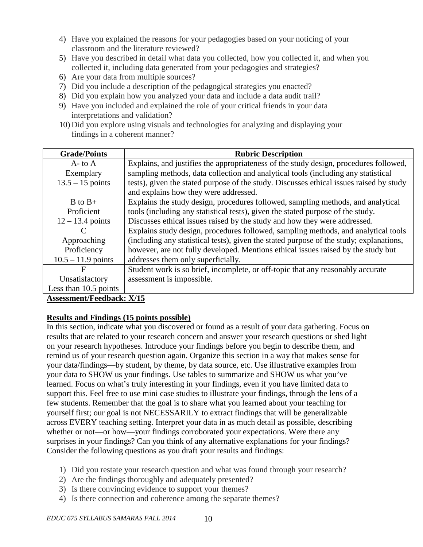- 4) Have you explained the reasons for your pedagogies based on your noticing of your classroom and the literature reviewed?
- 5) Have you described in detail what data you collected, how you collected it, and when you collected it, including data generated from your pedagogies and strategies?
- 6) Are your data from multiple sources?
- 7) Did you include a description of the pedagogical strategies you enacted?
- 8) Did you explain how you analyzed your data and include a data audit trail?
- 9) Have you included and explained the role of your critical friends in your data interpretations and validation?
- 10) Did you explore using visuals and technologies for analyzing and displaying your findings in a coherent manner?

| <b>Grade/Points</b>                                                                                                                                                                                                                                                                                                                                                                                                                                                                        | <b>Rubric Description</b>                                                               |
|--------------------------------------------------------------------------------------------------------------------------------------------------------------------------------------------------------------------------------------------------------------------------------------------------------------------------------------------------------------------------------------------------------------------------------------------------------------------------------------------|-----------------------------------------------------------------------------------------|
| $A$ - to $A$                                                                                                                                                                                                                                                                                                                                                                                                                                                                               | Explains, and justifies the appropriateness of the study design, procedures followed,   |
| Exemplary                                                                                                                                                                                                                                                                                                                                                                                                                                                                                  | sampling methods, data collection and analytical tools (including any statistical       |
| $13.5 - 15$ points                                                                                                                                                                                                                                                                                                                                                                                                                                                                         | tests), given the stated purpose of the study. Discusses ethical issues raised by study |
|                                                                                                                                                                                                                                                                                                                                                                                                                                                                                            | and explains how they were addressed.                                                   |
| $B$ to $B+$                                                                                                                                                                                                                                                                                                                                                                                                                                                                                | Explains the study design, procedures followed, sampling methods, and analytical        |
| Proficient                                                                                                                                                                                                                                                                                                                                                                                                                                                                                 | tools (including any statistical tests), given the stated purpose of the study.         |
| $12 - 13.4$ points                                                                                                                                                                                                                                                                                                                                                                                                                                                                         | Discusses ethical issues raised by the study and how they were addressed.               |
| C                                                                                                                                                                                                                                                                                                                                                                                                                                                                                          | Explains study design, procedures followed, sampling methods, and analytical tools      |
| Approaching                                                                                                                                                                                                                                                                                                                                                                                                                                                                                | (including any statistical tests), given the stated purpose of the study; explanations, |
| Proficiency                                                                                                                                                                                                                                                                                                                                                                                                                                                                                | however, are not fully developed. Mentions ethical issues raised by the study but       |
| $10.5 - 11.9$ points                                                                                                                                                                                                                                                                                                                                                                                                                                                                       | addresses them only superficially.                                                      |
| F                                                                                                                                                                                                                                                                                                                                                                                                                                                                                          | Student work is so brief, incomplete, or off-topic that any reasonably accurate         |
| Unsatisfactory                                                                                                                                                                                                                                                                                                                                                                                                                                                                             | assessment is impossible.                                                               |
| Less than 10.5 points                                                                                                                                                                                                                                                                                                                                                                                                                                                                      |                                                                                         |
| $\blacksquare$ $\blacksquare$ $\blacksquare$ $\blacksquare$ $\blacksquare$ $\blacksquare$ $\blacksquare$ $\blacksquare$ $\blacksquare$ $\blacksquare$ $\blacksquare$ $\blacksquare$ $\blacksquare$ $\blacksquare$ $\blacksquare$ $\blacksquare$ $\blacksquare$ $\blacksquare$ $\blacksquare$ $\blacksquare$ $\blacksquare$ $\blacksquare$ $\blacksquare$ $\blacksquare$ $\blacksquare$ $\blacksquare$ $\blacksquare$ $\blacksquare$ $\blacksquare$ $\blacksquare$ $\blacksquare$ $\blacks$ |                                                                                         |

### **Assessment/Feedback: X/15**

### **Results and Findings (15 points possible)**

In this section, indicate what you discovered or found as a result of your data gathering. Focus on results that are related to your research concern and answer your research questions or shed light on your research hypotheses. Introduce your findings before you begin to describe them, and remind us of your research question again. Organize this section in a way that makes sense for your data/findings—by student, by theme, by data source, etc. Use illustrative examples from your data to SHOW us your findings. Use tables to summarize and SHOW us what you've learned. Focus on what's truly interesting in your findings, even if you have limited data to support this. Feel free to use mini case studies to illustrate your findings, through the lens of a few students. Remember that the goal is to share what you learned about your teaching for yourself first; our goal is not NECESSARILY to extract findings that will be generalizable across EVERY teaching setting. Interpret your data in as much detail as possible, describing whether or not—or how—your findings corroborated your expectations. Were there any surprises in your findings? Can you think of any alternative explanations for your findings? Consider the following questions as you draft your results and findings:

- 1) Did you restate your research question and what was found through your research?
- 2) Are the findings thoroughly and adequately presented?
- 3) Is there convincing evidence to support your themes?
- 4) Is there connection and coherence among the separate themes?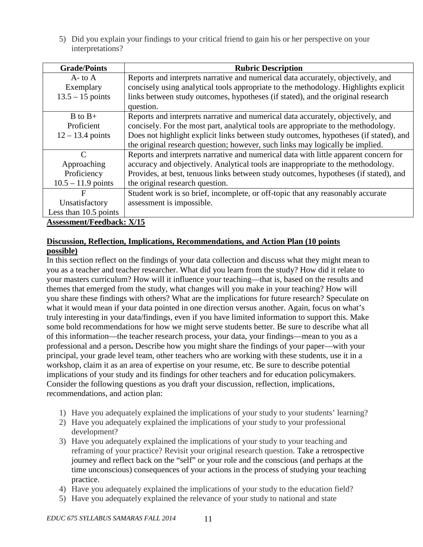5) Did you explain your findings to your critical friend to gain his or her perspective on your interpretations?

| <b>Grade/Points</b>              | <b>Rubric Description</b>                                                             |
|----------------------------------|---------------------------------------------------------------------------------------|
| $A$ - to $A$                     | Reports and interprets narrative and numerical data accurately, objectively, and      |
| Exemplary                        | concisely using analytical tools appropriate to the methodology. Highlights explicit  |
| $13.5 - 15$ points               | links between study outcomes, hypotheses (if stated), and the original research       |
|                                  | question.                                                                             |
| $B$ to $B+$                      | Reports and interprets narrative and numerical data accurately, objectively, and      |
| Proficient                       | concisely. For the most part, analytical tools are appropriate to the methodology.    |
| $12 - 13.4$ points               | Does not highlight explicit links between study outcomes, hypotheses (if stated), and |
|                                  | the original research question; however, such links may logically be implied.         |
| C                                | Reports and interprets narrative and numerical data with little apparent concern for  |
| Approaching                      | accuracy and objectively. Analytical tools are inappropriate to the methodology.      |
| Proficiency                      | Provides, at best, tenuous links between study outcomes, hypotheses (if stated), and  |
| $10.5 - 11.9$ points             | the original research question.                                                       |
| F                                | Student work is so brief, incomplete, or off-topic that any reasonably accurate       |
| Unsatisfactory                   | assessment is impossible.                                                             |
| Less than $10.5$ points          |                                                                                       |
| <b>Assessment/Feedback: X/15</b> |                                                                                       |

**Discussion, Reflection, Implications, Recommendations, and Action Plan (10 points possible)**

In this section reflect on the findings of your data collection and discuss what they might mean to you as a teacher and teacher researcher. What did you learn from the study? How did it relate to your masters curriculum? How will it influence your teaching—that is, based on the results and themes that emerged from the study, what changes will you make in your teaching? How will you share these findings with others? What are the implications for future research? Speculate on what it would mean if your data pointed in one direction versus another. Again, focus on what's truly interesting in your data/findings, even if you have limited information to support this. Make some bold recommendations for how we might serve students better. Be sure to describe what all of this information—the teacher research process, your data, your findings—mean to you as a professional and a person**.** Describe how you might share the findings of your paper—with your principal, your grade level team, other teachers who are working with these students, use it in a workshop, claim it as an area of expertise on your resume, etc. Be sure to describe potential implications of your study and its findings for other teachers and for education policymakers. Consider the following questions as you draft your discussion, reflection, implications, recommendations, and action plan:

- 1) Have you adequately explained the implications of your study to your students' learning?
- 2) Have you adequately explained the implications of your study to your professional development?
- 3) Have you adequately explained the implications of your study to your teaching and reframing of your practice? Revisit your original research question. Take a retrospective journey and reflect back on the "self" or your role and the conscious (and perhaps at the time unconscious) consequences of your actions in the process of studying your teaching practice.
- 4) Have you adequately explained the implications of your study to the education field?
- 5) Have you adequately explained the relevance of your study to national and state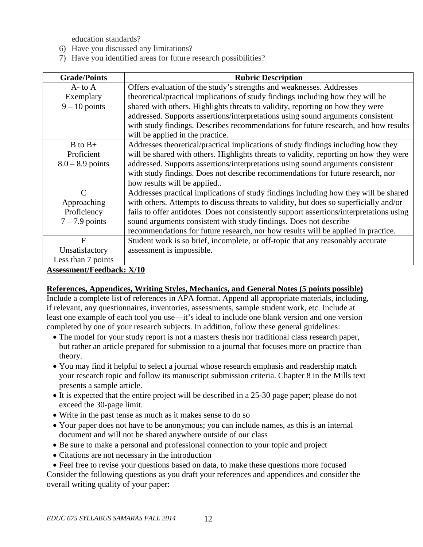education standards?

- 6) Have you discussed any limitations?
- 7) Have you identified areas for future research possibilities?

| <b>Grade/Points</b>      | <b>Rubric Description</b>                                                                |
|--------------------------|------------------------------------------------------------------------------------------|
| $A$ - to $A$             | Offers evaluation of the study's strengths and weaknesses. Addresses                     |
| Exemplary                | theoretical/practical implications of study findings including how they will be          |
| $9 - 10$ points          | shared with others. Highlights threats to validity, reporting on how they were           |
|                          | addressed. Supports assertions/interpretations using sound arguments consistent          |
|                          | with study findings. Describes recommendations for future research, and how results      |
|                          | will be applied in the practice.                                                         |
| $B$ to $B+$              | Addresses theoretical/practical implications of study findings including how they        |
| Proficient               | will be shared with others. Highlights threats to validity, reporting on how they were   |
| $8.0 - 8.9$ points       | addressed. Supports assertions/interpretations using sound arguments consistent          |
|                          | with study findings. Does not describe recommendations for future research, nor          |
|                          | how results will be applied                                                              |
| $\mathcal{C}$            | Addresses practical implications of study findings including how they will be shared     |
| Approaching              | with others. Attempts to discuss threats to validity, but does so superficially and/or   |
| Proficiency              | fails to offer antidotes. Does not consistently support assertions/interpretations using |
| $7 - 7.9$ points         | sound arguments consistent with study findings. Does not describe                        |
|                          | recommendations for future research, nor how results will be applied in practice.        |
| F                        | Student work is so brief, incomplete, or off-topic that any reasonably accurate          |
| Unsatisfactory           | assessment is impossible.                                                                |
| Less than 7 points       |                                                                                          |
| Accormont/Foodbook: Y/10 |                                                                                          |

**Assessment/Feedback: X/10**

#### **References, Appendices, Writing Styles, Mechanics, and General Notes (5 points possible)**

Include a complete list of references in APA format. Append all appropriate materials, including, if relevant, any questionnaires, inventories, assessments, sample student work, etc. Include at least one example of each tool you use—it's ideal to include one blank version and one version completed by one of your research subjects. In addition, follow these general guidelines:

- The model for your study report is not a masters thesis nor traditional class research paper, but rather an article prepared for submission to a journal that focuses more on practice than theory.
- You may find it helpful to select a journal whose research emphasis and readership match your research topic and follow its manuscript submission criteria. Chapter 8 in the Mills text presents a sample article.
- It is expected that the entire project will be described in a 25-30 page paper; please do not exceed the 30-page limit.
- Write in the past tense as much as it makes sense to do so
- Your paper does not have to be anonymous; you can include names, as this is an internal document and will not be shared anywhere outside of our class
- Be sure to make a personal and professional connection to your topic and project
- Citations are not necessary in the introduction
- Feel free to revise your questions based on data, to make these questions more focused

Consider the following questions as you draft your references and appendices and consider the overall writing quality of your paper: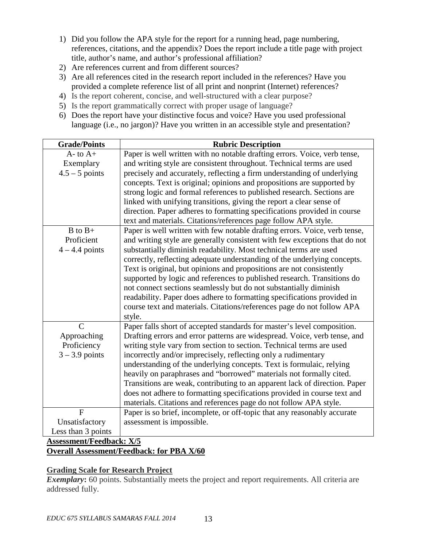- 1) Did you follow the APA style for the report for a running head, page numbering, references, citations, and the appendix? Does the report include a title page with project title, author's name, and author's professional affiliation?
- 2) Are references current and from different sources?
- 3) Are all references cited in the research report included in the references? Have you provided a complete reference list of all print and nonprint (Internet) references?
- 4) Is the report coherent, concise, and well-structured with a clear purpose?
- 5) Is the report grammatically correct with proper usage of language?
- 6) Does the report have your distinctive focus and voice? Have you used professional language (i.e., no jargon)? Have you written in an accessible style and presentation?

| <b>Grade/Points</b> | <b>Rubric Description</b>                                                  |
|---------------------|----------------------------------------------------------------------------|
| $A$ - to $A$ +      | Paper is well written with no notable drafting errors. Voice, verb tense,  |
| Exemplary           | and writing style are consistent throughout. Technical terms are used      |
| $4.5 - 5$ points    | precisely and accurately, reflecting a firm understanding of underlying    |
|                     | concepts. Text is original; opinions and propositions are supported by     |
|                     | strong logic and formal references to published research. Sections are     |
|                     | linked with unifying transitions, giving the report a clear sense of       |
|                     | direction. Paper adheres to formatting specifications provided in course   |
|                     | text and materials. Citations/references page follow APA style.            |
| $B$ to $B+$         | Paper is well written with few notable drafting errors. Voice, verb tense, |
| Proficient          | and writing style are generally consistent with few exceptions that do not |
| $4 - 4.4$ points    | substantially diminish readability. Most technical terms are used          |
|                     | correctly, reflecting adequate understanding of the underlying concepts.   |
|                     | Text is original, but opinions and propositions are not consistently       |
|                     | supported by logic and references to published research. Transitions do    |
|                     | not connect sections seamlessly but do not substantially diminish          |
|                     | readability. Paper does adhere to formatting specifications provided in    |
|                     | course text and materials. Citations/references page do not follow APA     |
|                     | style.                                                                     |
| $\overline{C}$      | Paper falls short of accepted standards for master's level composition.    |
| Approaching         | Drafting errors and error patterns are widespread. Voice, verb tense, and  |
| Proficiency         | writing style vary from section to section. Technical terms are used       |
| $3 - 3.9$ points    | incorrectly and/or imprecisely, reflecting only a rudimentary              |
|                     | understanding of the underlying concepts. Text is formulaic, relying       |
|                     | heavily on paraphrases and "borrowed" materials not formally cited.        |
|                     | Transitions are weak, contributing to an apparent lack of direction. Paper |
|                     | does not adhere to formatting specifications provided in course text and   |
|                     | materials. Citations and references page do not follow APA style.          |
| $\overline{F}$      | Paper is so brief, incomplete, or off-topic that any reasonably accurate   |
| Unsatisfactory      | assessment is impossible.                                                  |
| Less than 3 points  |                                                                            |
|                     |                                                                            |

#### **Assessment/Feedback: X/5 Overall Assessment/Feedback: for PBA X/60**

# **Grading Scale for Research Project**

*Exemplary*: 60 points. Substantially meets the project and report requirements. All criteria are addressed fully.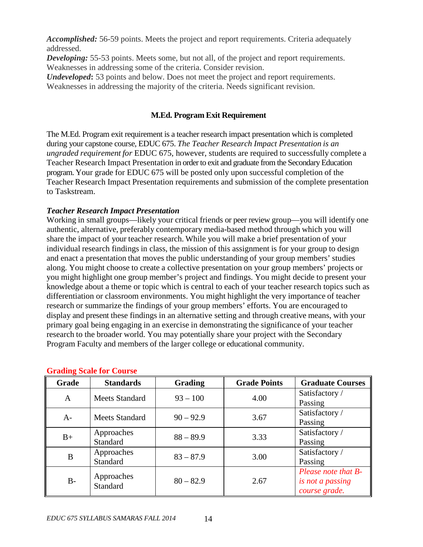*Accomplished:* 56-59 points. Meets the project and report requirements. Criteria adequately addressed.

**Developing:** 55-53 points. Meets some, but not all, of the project and report requirements. Weaknesses in addressing some of the criteria. Consider revision.

*Undeveloped*: 53 points and below. Does not meet the project and report requirements. Weaknesses in addressing the majority of the criteria. Needs significant revision.

#### **M.Ed. Program Exit Requirement**

The M.Ed. Program exit requirement is a teacher research impact presentation which is completed during your capstone course, EDUC 675. *The Teacher Research Impact Presentation is an ungraded requirement for* EDUC 675, however, students are required to successfully complete a Teacher Research Impact Presentation in order to exit and graduate from the Secondary Education program. Your grade for EDUC 675 will be posted only upon successful completion of the Teacher Research Impact Presentation requirements and submission of the complete presentation to Taskstream.

#### *Teacher Research Impact Presentation*

Working in small groups—likely your critical friends or peer review group—you will identify one authentic, alternative, preferably contemporary media-based method through which you will share the impact of your teacher research. While you will make a brief presentation of your individual research findings in class, the mission of this assignment is for your group to design and enact a presentation that moves the public understanding of your group members' studies along. You might choose to create a collective presentation on your group members' projects or you might highlight one group member's project and findings. You might decide to present your knowledge about a theme or topic which is central to each of your teacher research topics such as differentiation or classroom environments. You might highlight the very importance of teacher research or summarize the findings of your group members' efforts. You are encouraged to display and present these findings in an alternative setting and through creative means, with your primary goal being engaging in an exercise in demonstrating the significance of your teacher research to the broader world. You may potentially share your project with the Secondary Program Faculty and members of the larger college or educational community.

| Grade | <b>Standards</b>              | <b>Grading</b> | <b>Grade Points</b> | <b>Graduate Courses</b> |
|-------|-------------------------------|----------------|---------------------|-------------------------|
| A     | Meets Standard                | $93 - 100$     | 4.00                | Satisfactory /          |
|       |                               |                |                     | Passing                 |
| $A-$  | Meets Standard                | $90 - 92.9$    | 3.67                | Satisfactory /          |
|       |                               |                |                     | Passing                 |
|       | Approaches                    | $88 - 89.9$    | 3.33                | Satisfactory /          |
| $B+$  | Standard                      |                |                     | Passing                 |
| B     | Approaches                    | $83 - 87.9$    | 3.00                | Satisfactory /          |
|       | <b>Standard</b>               |                |                     | Passing                 |
|       |                               |                |                     | Please note that B-     |
| $B-$  | Approaches<br><b>Standard</b> | $80 - 82.9$    | 2.67                | is not a passing        |
|       |                               |                |                     | course grade.           |

#### **Grading Scale for Course**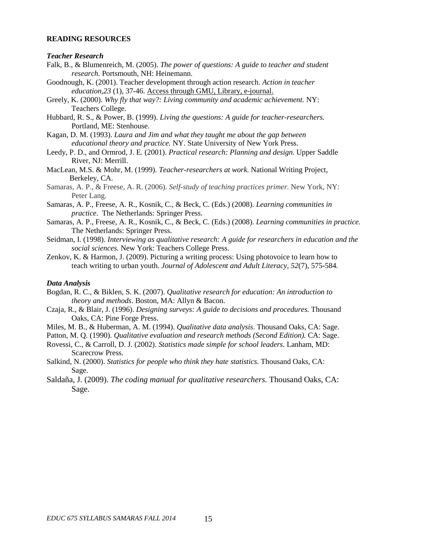#### **READING RESOURCES**

#### *Teacher Research*

- Falk, B., & Blumenreich, M. (2005). *The power of questions: A guide to teacher and student research.* Portsmouth, NH: Heinemann.
- Goodnough, K. (2001). Teacher development through action research. *Action in teacher education,23* (1), 37-46. Access through GMU, Library, e-journal.
- Greely, K. (2000). *Why fly that way?: Living community and academic achievement.* NY: Teachers College.
- Hubbard, R. S., & Power, B. (1999). *Living the questions: A guide for teacher-researchers.*  Portland, ME: Stenhouse.
- Kagan, D. M. (1993). *Laura and Jim and what they taught me about the gap between educational theory and practice.* NY. State University of New York Press.
- Leedy, P. D., and Ormrod, J. E. (2001). *Practical research: Planning and design.* Upper Saddle River, NJ: Merrill.
- MacLean, M.S. & Mohr, M. (1999). *Teacher-researchers at work*. National Writing Project, Berkeley, CA.
- Samaras, A. P., & Freese, A. R. (2006). *Self-study of teaching practices primer.* New York, NY: Peter Lang.
- Samaras, A. P., Freese, A. R., Kosnik, C., & Beck, C. (Eds.) (2008). *Learning communities in practice.* The Netherlands: Springer Press.
- Samaras, A. P., Freese, A. R., Kosnik, C., & Beck, C. (Eds.) (2008). *Learning communities in practice.*  The Netherlands: Springer Press.
- Seidman, I. (1998). *Interviewing as qualitative research: A guide for researchers in education and the social sciences.* New York: Teachers College Press.
- Zenkov, K. & Harmon, J. (2009). Picturing a writing process: Using photovoice to learn how to teach writing to urban youth. *Journal of Adolescent and Adult Literacy, 52*(7), 575-584*.*

#### *Data Analysis*

- Bogdan, R. C., & Biklen, S. K. (2007). *Qualitative research for education: An introduction to theory and methods*. Boston, MA: Allyn & Bacon.
- Czaja, R., & Blair, J. (1996). *Designing surveys: A guide to decisions and procedures.* Thousand Oaks, CA: Pine Forge Press.
- Miles, M. B., & Huberman, A. M. (1994). *Qualitative data analysis*. Thousand Oaks, CA: Sage.
- Patton, M. Q. (1990). *Qualitative evaluation and research methods (Second Edition).* CA: Sage.
- Rovessi, C., & Carroll, D. J. (2002). *Statistics made simple for school leaders.* Lanham, MD: Scarecrow Press.
- Salkind, N. (2000). *Statistics for people who think they hate statistics.* Thousand Oaks, CA: Sage.
- Saldaña, J. (2009). *The coding manual for qualitative researchers.* Thousand Oaks, CA: Sage.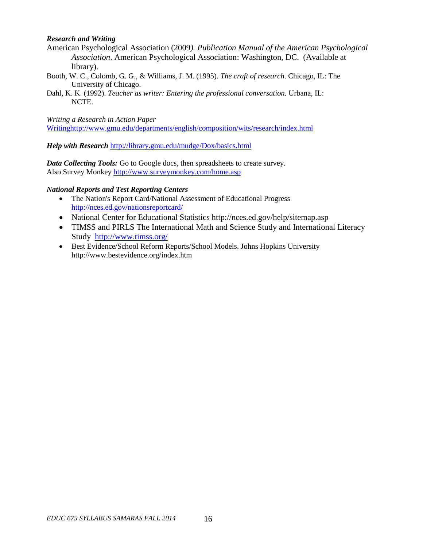#### *Research and Writing*

- American Psychological Association (2009*). Publication Manual of the American Psychological Association*. American Psychological Association: Washington, DC. (Available at library).
- Booth, W. C., Colomb, G. G., & Williams, J. M. (1995). *The craft of research*. Chicago, IL: The University of Chicago.
- Dahl, K. K. (1992). *Teacher as writer: Entering the professional conversation.* Urbana, IL: NCTE.

*Writing a Research in Action Paper*

[Writinghttp://www.gmu.edu/departments/english/composition/wits/research/index.html](http://www.gmu.edu/departments/english/composition/wits/research/index.html)

*Help with Research* <http://library.gmu.edu/mudge/Dox/basics.html>

*Data Collecting Tools:* Go to Google docs, then spreadsheets to create survey. Also Survey Monkey<http://www.surveymonkey.com/home.asp>

#### *National Reports and Test Reporting Centers*

- [The Nation's Report Card/](http://nces.ed.gov/nationsreportcard/)National Assessment of Educational Progress <http://nces.ed.gov/nationsreportcard/>
- National Center for Educational Statistics http://nces.ed.gov/help/sitemap.asp
- TIMSS and PIRLS [The International Math and Science Study](http://www.timss.org/) and International Literacy Study <http://www.timss.org/>
- Best Evidence/School Reform Reports/School Models. Johns Hopkins University http://www.bestevidence.org/index.htm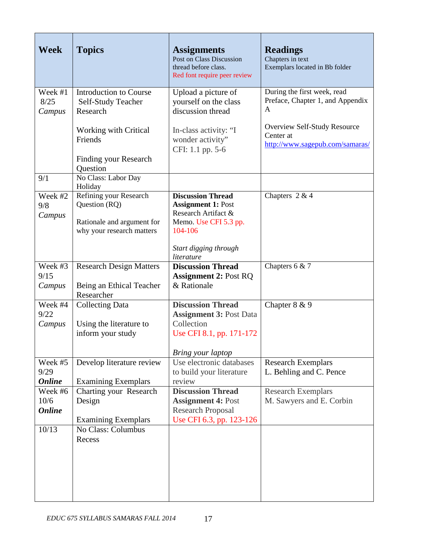| Week                     | <b>Topics</b>                                           | <b>Assignments</b><br>Post on Class Discussion<br>thread before class.<br>Red font require peer review | <b>Readings</b><br>Chapters in text<br>Exemplars located in Bb folder        |
|--------------------------|---------------------------------------------------------|--------------------------------------------------------------------------------------------------------|------------------------------------------------------------------------------|
| Week #1                  | <b>Introduction to Course</b>                           | Upload a picture of                                                                                    | During the first week, read                                                  |
| 8/25                     | Self-Study Teacher                                      | yourself on the class<br>discussion thread                                                             | Preface, Chapter 1, and Appendix<br>A                                        |
| Campus                   | Research                                                |                                                                                                        |                                                                              |
|                          | Working with Critical<br>Friends                        | In-class activity: "I<br>wonder activity"<br>CFI: 1.1 pp. 5-6                                          | Overview Self-Study Resource<br>Center at<br>http://www.sagepub.com/samaras/ |
|                          | Finding your Research<br>Question                       |                                                                                                        |                                                                              |
| 9/1                      | No Class: Labor Day<br>Holiday                          |                                                                                                        |                                                                              |
| Week #2<br>9/8<br>Campus | Refining your Research<br>Question (RQ)                 | <b>Discussion Thread</b><br><b>Assignment 1: Post</b><br>Research Artifact &                           | Chapters $2 & 4$                                                             |
|                          | Rationale and argument for<br>why your research matters | Memo. Use CFI 5.3 pp.<br>104-106                                                                       |                                                                              |
|                          |                                                         | Start digging through<br>literature                                                                    |                                                                              |
| Week #3<br>9/15          | <b>Research Design Matters</b>                          | <b>Discussion Thread</b><br><b>Assignment 2: Post RQ</b>                                               | Chapters $6 & 7$                                                             |
| Campus                   | Being an Ethical Teacher<br>Researcher                  | & Rationale                                                                                            |                                                                              |
| Week #4<br>9/22          | <b>Collecting Data</b>                                  | <b>Discussion Thread</b><br><b>Assignment 3: Post Data</b>                                             | Chapter 8 & 9                                                                |
| Campus                   | Using the literature to<br>inform your study            | Collection<br>Use CFI 8.1, pp. 171-172                                                                 |                                                                              |
|                          |                                                         | Bring your laptop                                                                                      |                                                                              |
| Week #5                  | Develop literature review                               | Use electronic databases                                                                               | <b>Research Exemplars</b>                                                    |
| 9/29<br><b>Online</b>    | <b>Examining Exemplars</b>                              | to build your literature<br>review                                                                     | L. Behling and C. Pence                                                      |
| Week #6                  | Charting your Research                                  | <b>Discussion Thread</b>                                                                               | <b>Research Exemplars</b>                                                    |
| 10/6                     | Design                                                  | <b>Assignment 4: Post</b>                                                                              | M. Sawyers and E. Corbin                                                     |
| <b>Online</b>            |                                                         | <b>Research Proposal</b>                                                                               |                                                                              |
|                          | <b>Examining Exemplars</b>                              | Use CFI 6.3, pp. 123-126                                                                               |                                                                              |
| 10/13                    | No Class: Columbus<br>Recess                            |                                                                                                        |                                                                              |
|                          |                                                         |                                                                                                        |                                                                              |
|                          |                                                         |                                                                                                        |                                                                              |
|                          |                                                         |                                                                                                        |                                                                              |
|                          |                                                         |                                                                                                        |                                                                              |
|                          |                                                         |                                                                                                        |                                                                              |